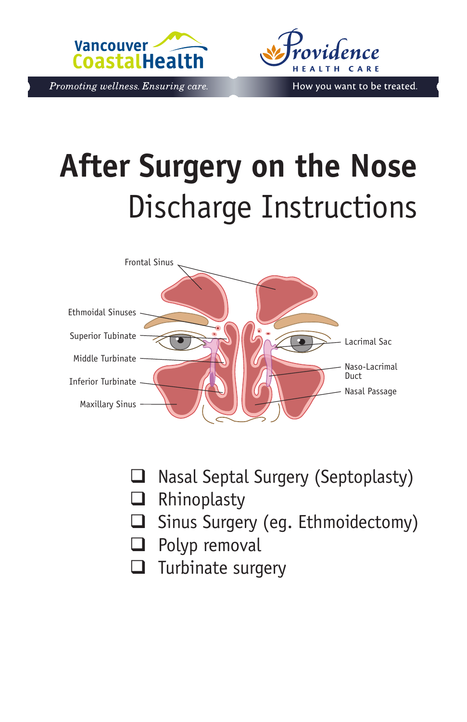



Promoting wellness. Ensuring care.

# **After Surgery on the Nose** Discharge Instructions



- $\Box$  Nasal Septal Surgery (Septoplasty)
- **Q** Rhinoplasty
- $\Box$  Sinus Surgery (eg. Ethmoidectomy)
- $\Box$  Polyp removal
- $\Box$  Turbinate surgery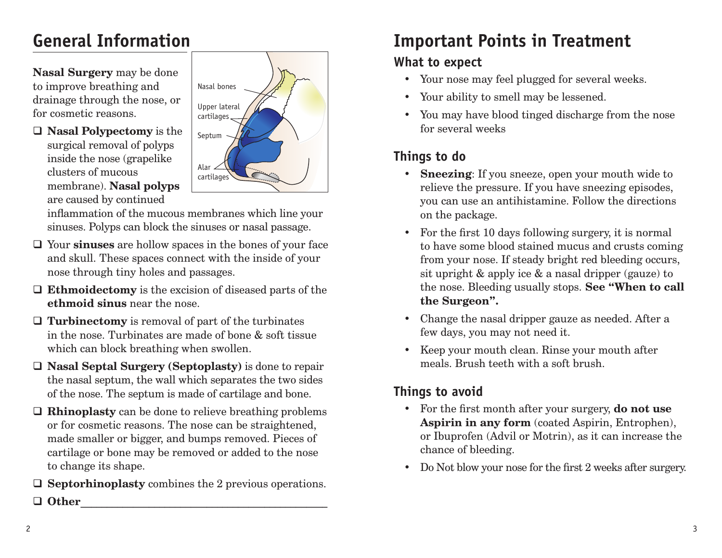# **General Information**

**Nasal Surgery** may be done to improve breathing and drainage through the nose, or for cosmetic reasons.





inflammation of the mucous membranes which line your sinuses. Polyps can block the sinuses or nasal passage.

- Your **sinuses** are hollow spaces in the bones of your face and skull. These spaces connect with the inside of your nose through tiny holes and passages.
- **Ethmoidectomy** is the excision of diseased parts of the **ethmoid sinus** near the nose.
- **Turbinectomy** is removal of part of the turbinates in the nose. Turbinates are made of bone & soft tissue which can block breathing when swollen.
- **Nasal Septal Surgery (Septoplasty)** is done to repair the nasal septum, the wall which separates the two sides of the nose. The septum is made of cartilage and bone.
- **Rhinoplasty** can be done to relieve breathing problems or for cosmetic reasons. The nose can be straightened, made smaller or bigger, and bumps removed. Pieces of cartilage or bone may be removed or added to the nose to change its shape.
- **Septorhinoplasty** combines the 2 previous operations.

#### **Other**\_\_\_\_\_\_\_\_\_\_\_\_\_\_\_\_\_\_\_\_\_\_\_\_\_\_\_\_\_\_\_\_\_\_\_\_\_\_\_\_\_\_\_\_\_\_\_

# **Important Points in Treatment**

# **What to expect**

- Your nose may feel plugged for several weeks.
- Your ability to smell may be lessened.
- You may have blood tinged discharge from the nose for several weeks

## **Things to do**

- **• Sneezing**: If you sneeze, open your mouth wide to relieve the pressure. If you have sneezing episodes, you can use an antihistamine. Follow the directions on the package.
- For the first 10 days following surgery, it is normal to have some blood stained mucus and crusts coming from your nose. If steady bright red bleeding occurs, sit upright & apply ice & a nasal dripper (gauze) to the nose. Bleeding usually stops. **See "When to call the Surgeon".**
- Change the nasal dripper gauze as needed. After a few days, you may not need it.
- Keep your mouth clean. Rinse your mouth after meals. Brush teeth with a soft brush.

# **Things to avoid**

- For the first month after your surgery, **do not use Aspirin in any form** (coated Aspirin, Entrophen), or Ibuprofen (Advil or Motrin), as it can increase the chance of bleeding.
- Do Not blow your nose for the first 2 weeks after surgery.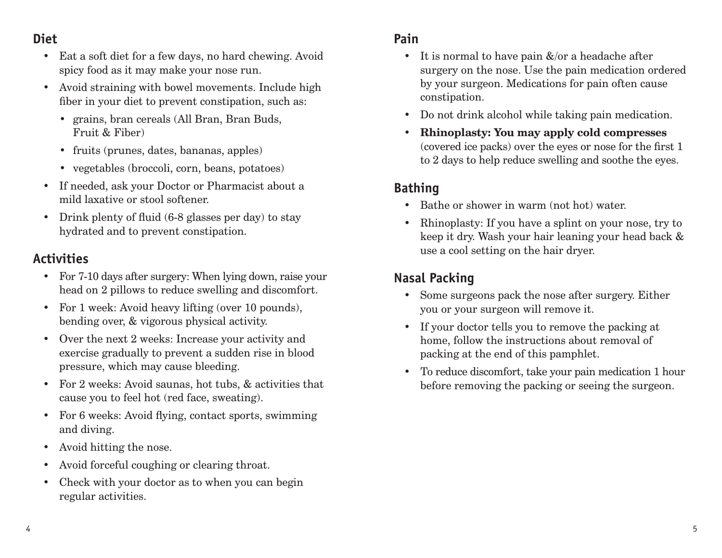#### **Diet**

- Eat a soft diet for a few days, no hard chewing. Avoid spicy food as it may make your nose run.
- Avoid straining with bowel movements. Include high fiber in your diet to prevent constipation, such as:
	- grains, bran cereals (All Bran, Bran Buds, Fruit & Fiber)
	- fruits (prunes, dates, bananas, apples)
	- vegetables (broccoli, corn, beans, potatoes)
- If needed, ask your Doctor or Pharmacist about a mild laxative or stool softener.
- Drink plenty of fluid (6-8 glasses per day) to stay hydrated and to prevent constipation.

#### **Activities**

- For 7-10 days after surgery: When lying down, raise your head on 2 pillows to reduce swelling and discomfort.
- For 1 week: Avoid heavy lifting (over 10 pounds), bending over, & vigorous physical activity.
- Over the next 2 weeks: Increase your activity and exercise gradually to prevent a sudden rise in blood pressure, which may cause bleeding.
- For 2 weeks: Avoid saunas, hot tubs, & activities that cause you to feel hot (red face, sweating).
- For 6 weeks: Avoid flying, contact sports, swimming and diving.
- Avoid hitting the nose.
- Avoid forceful coughing or clearing throat.
- Check with your doctor as to when you can begin regular activities.

#### **Pain**

- It is normal to have pain  $\&$ /or a headache after surgery on the nose. Use the pain medication ordered by your surgeon. Medications for pain often cause constipation.
- Do not drink alcohol while taking pain medication.
- **• Rhinoplasty: You may apply cold compresses** (covered ice packs) over the eyes or nose for the first 1 to 2 days to help reduce swelling and soothe the eyes.

# **Bathing**

- Bathe or shower in warm (not hot) water.
- Rhinoplasty: If you have a splint on your nose, try to keep it dry. Wash your hair leaning your head back & use a cool setting on the hair dryer.

# **Nasal Packing**

- Some surgeons pack the nose after surgery. Either you or your surgeon will remove it.
- If your doctor tells you to remove the packing at home, follow the instructions about removal of packing at the end of this pamphlet.
- To reduce discomfort, take your pain medication 1 hour before removing the packing or seeing the surgeon.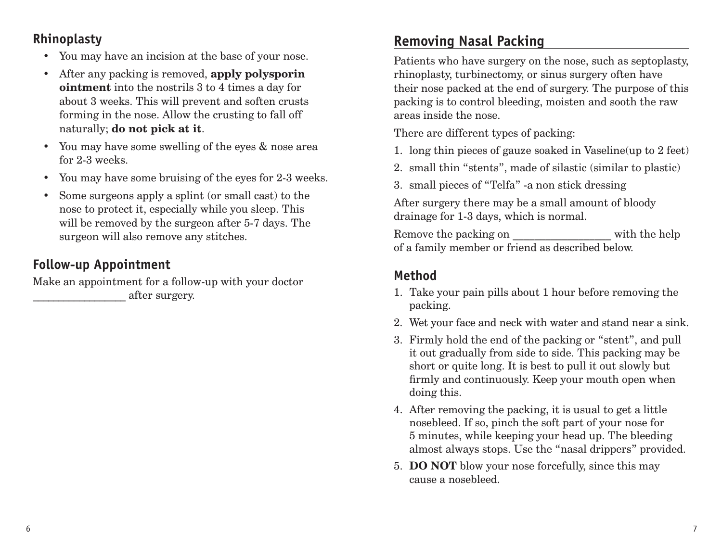#### **Rhinoplasty**

- You may have an incision at the base of your nose.
- After any packing is removed, **apply polysporin ointment** into the nostrils 3 to 4 times a day for about 3 weeks. This will prevent and soften crusts forming in the nose. Allow the crusting to fall off naturally; **do not pick at it**.
- You may have some swelling of the eyes & nose area for 2-3 weeks.
- You may have some bruising of the eyes for 2-3 weeks.
- Some surgeons apply a splint (or small cast) to the nose to protect it, especially while you sleep. This will be removed by the surgeon after 5-7 days. The surgeon will also remove any stitches.

#### **Follow-up Appointment**

Make an appointment for a follow-up with your doctor \_\_\_\_\_\_\_\_\_\_\_\_\_\_\_\_\_\_ after surgery.

#### **Removing Nasal Packing**

Patients who have surgery on the nose, such as septoplasty, rhinoplasty, turbinectomy, or sinus surgery often have their nose packed at the end of surgery. The purpose of this packing is to control bleeding, moisten and sooth the raw areas inside the nose.

There are different types of packing:

- 1. long thin pieces of gauze soaked in Vaseline(up to 2 feet)
- 2. small thin "stents", made of silastic (similar to plastic)
- 3. small pieces of "Telfa" -a non stick dressing

After surgery there may be a small amount of bloody drainage for 1-3 days, which is normal.

Remove the packing on with the help of a family member or friend as described below.

#### **Method**

- 1. Take your pain pills about 1 hour before removing the packing.
- 2. Wet your face and neck with water and stand near a sink.
- 3. Firmly hold the end of the packing or "stent", and pull it out gradually from side to side. This packing may be short or quite long. It is best to pull it out slowly but firmly and continuously. Keep your mouth open when doing this.
- 4. After removing the packing, it is usual to get a little nosebleed. If so, pinch the soft part of your nose for 5 minutes, while keeping your head up. The bleeding almost always stops. Use the "nasal drippers" provided.
- 5. **DO NOT** blow your nose forcefully, since this may cause a nosebleed.